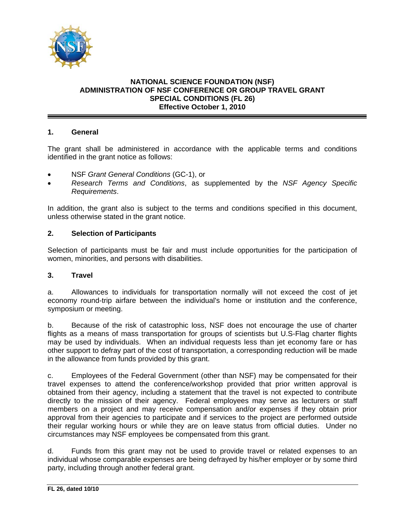

# **NATIONAL SCIENCE FOUNDATION (NSF) ADMINISTRATION OF NSF CONFERENCE OR GROUP TRAVEL GRANT SPECIAL CONDITIONS (FL 26) Effective October 1, 2010**

## **1. General**

The grant shall be administered in accordance with the applicable terms and conditions identified in the grant notice as follows:

- NSF *Grant General Conditions* (GC-1), or
- *Research Terms and Conditions*, as supplemented by the *NSF Agency Specific Requirements*.

In addition, the grant also is subject to the terms and conditions specified in this document, unless otherwise stated in the grant notice.

## **2. Selection of Participants**

Selection of participants must be fair and must include opportunities for the participation of women, minorities, and persons with disabilities.

#### **3. Travel**

a. Allowances to individuals for transportation normally will not exceed the cost of jet economy round-trip airfare between the individual's home or institution and the conference, symposium or meeting.

b. Because of the risk of catastrophic loss, NSF does not encourage the use of charter flights as a means of mass transportation for groups of scientists but U.S-Flag charter flights may be used by individuals. When an individual requests less than jet economy fare or has other support to defray part of the cost of transportation, a corresponding reduction will be made in the allowance from funds provided by this grant.

c. Employees of the Federal Government (other than NSF) may be compensated for their travel expenses to attend the conference/workshop provided that prior written approval is obtained from their agency, including a statement that the travel is not expected to contribute directly to the mission of their agency. Federal employees may serve as lecturers or staff members on a project and may receive compensation and/or expenses if they obtain prior approval from their agencies to participate and if services to the project are performed outside their regular working hours or while they are on leave status from official duties. Under no circumstances may NSF employees be compensated from this grant.

d. Funds from this grant may not be used to provide travel or related expenses to an individual whose comparable expenses are being defrayed by his/her employer or by some third party, including through another federal grant.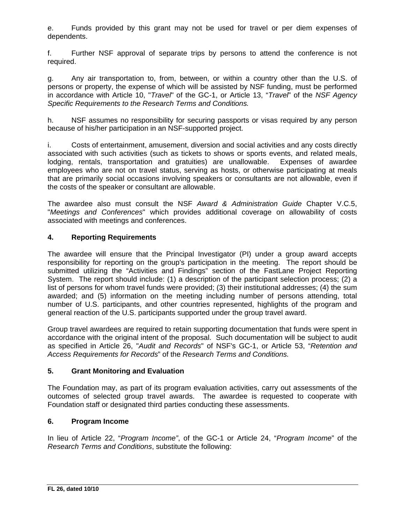e. Funds provided by this grant may not be used for travel or per diem expenses of dependents.

f. Further NSF approval of separate trips by persons to attend the conference is not required.

g. Any air transportation to, from, between, or within a country other than the U.S. of persons or property, the expense of which will be assisted by NSF funding, must be performed in accordance with Article 10, "*Travel*" of the GC-1, or Article 13, "*Travel*" of the *NSF Agency Specific Requirements to the Research Terms and Conditions.* 

h. NSF assumes no responsibility for securing passports or visas required by any person because of his/her participation in an NSF-supported project.

i. Costs of entertainment, amusement, diversion and social activities and any costs directly associated with such activities (such as tickets to shows or sports events, and related meals, lodging, rentals, transportation and gratuities) are unallowable. Expenses of awardee employees who are not on travel status, serving as hosts, or otherwise participating at meals that are primarily social occasions involving speakers or consultants are not allowable, even if the costs of the speaker or consultant are allowable.

The awardee also must consult the NSF *Award & Administration Guide* Chapter V.C.5, "*Meetings and Conferences*" which provides additional coverage on allowability of costs associated with meetings and conferences.

# **4. Reporting Requirements**

The awardee will ensure that the Principal Investigator (PI) under a group award accepts responsibility for reporting on the group's participation in the meeting. The report should be submitted utilizing the "Activities and Findings" section of the FastLane Project Reporting System. The report should include: (1) a description of the participant selection process; (2) a list of persons for whom travel funds were provided; (3) their institutional addresses; (4) the sum awarded; and (5) information on the meeting including number of persons attending, total number of U.S. participants, and other countries represented, highlights of the program and general reaction of the U.S. participants supported under the group travel award.

Group travel awardees are required to retain supporting documentation that funds were spent in accordance with the original intent of the proposal. Such documentation will be subject to audit as specified in Article 26, "*Audit and Records*" of NSF's GC-1, or Article 53, "*Retention and Access Requirements for Records*" of the *Research Terms and Conditions.* 

# **5. Grant Monitoring and Evaluation**

The Foundation may, as part of its program evaluation activities, carry out assessments of the outcomes of selected group travel awards. The awardee is requested to cooperate with Foundation staff or designated third parties conducting these assessments.

## **6. Program Income**

In lieu of Article 22, "*Program Income"*, of the GC-1 or Article 24, "*Program Income*" of the *Research Terms and Conditions*, substitute the following: